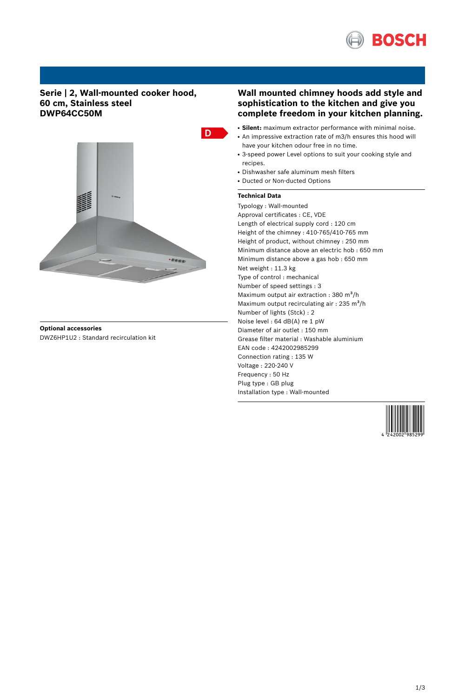

## **Serie | 2, Wall-mounted cooker hood, 60 cm, Stainless steel DWP64CC50M**



**Optional accessories** DWZ6HP1U2 : Standard recirculation kit

# **Wall mounted chimney hoods add style and sophistication to the kitchen and give you complete freedom in your kitchen planning.**

- **Silent:** maximum extractor performance with minimal noise.
- An impressive extraction rate of m3/h ensures this hood will have your kitchen odour free in no time.
- 3-speed power Level options to suit your cooking style and recipes.
- Dishwasher safe aluminum mesh filters
- Ducted or Non-ducted Options

### **Technical Data**

Typology : Wall-mounted Approval certificates : CE, VDE Length of electrical supply cord : 120 cm Height of the chimney : 410-765/410-765 mm Height of product, without chimney : 250 mm Minimum distance above an electric hob : 650 mm Minimum distance above a gas hob : 650 mm Net weight : 11.3 kg Type of control : mechanical Number of speed settings : 3 Maximum output air extraction : 380  $m^3/h$ Maximum output recirculating air : 235 m<sup>3</sup>/h Number of lights (Stck) : 2 Noise level : 64 dB(A) re 1 pW Diameter of air outlet : 150 mm Grease filter material : Washable aluminium EAN code : 4242002985299 Connection rating : 135 W Voltage : 220-240 V Frequency : 50 Hz Plug type : GB plug Installation type : Wall-mounted

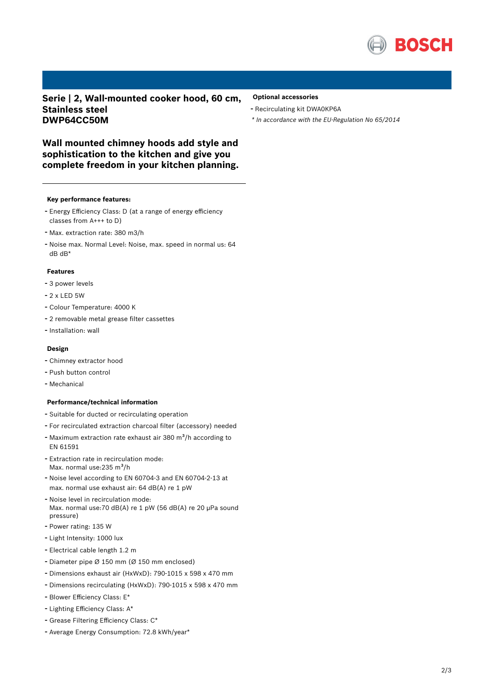

**Serie | 2, Wall-mounted cooker hood, 60 cm, Stainless steel DWP64CC50M**

#### **Optional accessories**

- Recirculating kit DWA0KP6A
- *\* In accordance with the EU-Regulation No 65/2014*

**Wall mounted chimney hoods add style and sophistication to the kitchen and give you complete freedom in your kitchen planning.**

#### **Key performance features:**

- Energy Efficiency Class: <sup>D</sup> (at <sup>a</sup> range of energy efficiency classes from A+++ to D)
- Max. extraction rate: <sup>380</sup> m3/h
- Noise max. Normal Level: Noise, max. speed in normal us: <sup>64</sup> dB dB\*

#### **Features**

- <sup>3</sup> power levels
- 2 x LED 5W
- Colour Temperature: <sup>4000</sup> <sup>K</sup>
- <sup>2</sup> removable metal grease filter cassettes
- Installation: wall

### **Design**

- Chimney extractor hood
- Push button control
- Mechanical

#### **Performance/technical information**

- Suitable for ducted or recirculating operation
- For recirculated extraction charcoal filter (accessory) needed
- Maximum extraction rate exhaust air 380  $m^3/h$  according to EN 61591
- Extraction rate in recirculation mode: Max. normal use:235 m<sup>3</sup>/h
- Noise level according to EN 60704-3 and EN 60704-2-13 at max. normal use exhaust air: 64 dB(A) re 1 pW
- Noise level in recirculation mode: Max. normal use:70 dB(A) re 1 pW (56 dB(A) re 20 µPa sound pressure)
- Power rating: <sup>135</sup> <sup>W</sup>
- Light Intensity: <sup>1000</sup> lux
- Electrical cable length 1.2 <sup>m</sup>
- Diameter pipe <sup>Ø</sup> <sup>150</sup> mm (Ø <sup>150</sup> mm enclosed)
- Dimensions exhaust air (HxWxD): 790-1015 <sup>x</sup> <sup>598</sup> <sup>x</sup> <sup>470</sup> mm
- Dimensions recirculating (HxWxD): 790-1015 <sup>x</sup> <sup>598</sup> <sup>x</sup> <sup>470</sup> mm
- Blower Efficiency Class: E\*
- Lighting Efficiency Class: A\*
- Grease Filtering Efficiency Class: C\*
- Average Energy Consumption: 72.8 kWh/year\*